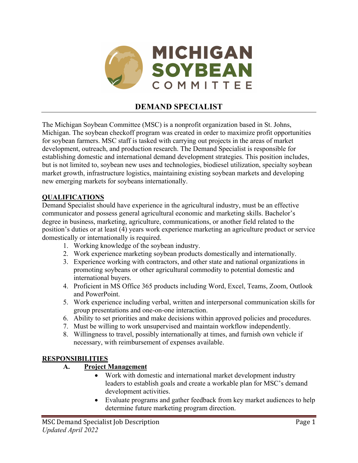

# **DEMAND SPECIALIST**

The Michigan Soybean Committee (MSC) is a nonprofit organization based in St. Johns, Michigan. The soybean checkoff program was created in order to maximize profit opportunities for soybean farmers. MSC staff is tasked with carrying out projects in the areas of market development, outreach, and production research. The Demand Specialist is responsible for establishing domestic and international demand development strategies. This position includes, but is not limited to, soybean new uses and technologies, biodiesel utilization, specialty soybean market growth, infrastructure logistics, maintaining existing soybean markets and developing new emerging markets for soybeans internationally.

### **QUALIFICATIONS**

Demand Specialist should have experience in the agricultural industry, must be an effective communicator and possess general agricultural economic and marketing skills. Bachelor's degree in business, marketing, agriculture, communications, or another field related to the position's duties or at least (4) years work experience marketing an agriculture product or service domestically or internationally is required.

- 1. Working knowledge of the soybean industry.
- 2. Work experience marketing soybean products domestically and internationally.
- 3. Experience working with contractors, and other state and national organizations in promoting soybeans or other agricultural commodity to potential domestic and international buyers.
- 4. Proficient in MS Office 365 products including Word, Excel, Teams, Zoom, Outlook and PowerPoint.
- 5. Work experience including verbal, written and interpersonal communication skills for group presentations and one-on-one interaction.
- 6. Ability to set priorities and make decisions within approved policies and procedures.
- 7. Must be willing to work unsupervised and maintain workflow independently.
- 8. Willingness to travel, possibly internationally at times, and furnish own vehicle if necessary, with reimbursement of expenses available.

### **RESPONSIBILITIES**

### **A. Project Management**

- Work with domestic and international market development industry leaders to establish goals and create a workable plan for MSC's demand development activities.
- Evaluate programs and gather feedback from key market audiences to help determine future marketing program direction.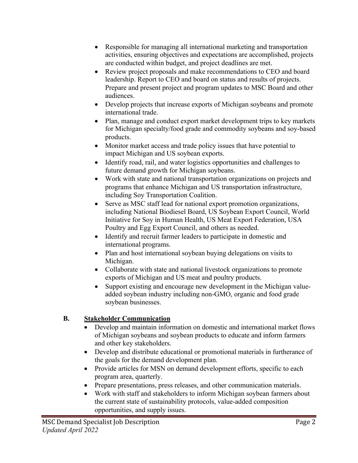- Responsible for managing all international marketing and transportation activities, ensuring objectives and expectations are accomplished, projects are conducted within budget, and project deadlines are met.
- Review project proposals and make recommendations to CEO and board leadership. Report to CEO and board on status and results of projects. Prepare and present project and program updates to MSC Board and other audiences.
- Develop projects that increase exports of Michigan soybeans and promote international trade.
- Plan, manage and conduct export market development trips to key markets for Michigan specialty/food grade and commodity soybeans and soy-based products.
- Monitor market access and trade policy issues that have potential to impact Michigan and US soybean exports.
- Identify road, rail, and water logistics opportunities and challenges to future demand growth for Michigan soybeans.
- Work with state and national transportation organizations on projects and programs that enhance Michigan and US transportation infrastructure, including Soy Transportation Coalition.
- Serve as MSC staff lead for national export promotion organizations, including National Biodiesel Board, US Soybean Export Council, World Initiative for Soy in Human Health, US Meat Export Federation, USA Poultry and Egg Export Council, and others as needed.
- Identify and recruit farmer leaders to participate in domestic and international programs.
- Plan and host international soybean buying delegations on visits to Michigan.
- Collaborate with state and national livestock organizations to promote exports of Michigan and US meat and poultry products.
- Support existing and encourage new development in the Michigan valueadded soybean industry including non-GMO, organic and food grade soybean businesses.

# **B. Stakeholder Communication**

- Develop and maintain information on domestic and international market flows of Michigan soybeans and soybean products to educate and inform farmers and other key stakeholders.
- Develop and distribute educational or promotional materials in furtherance of the goals for the demand development plan.
- Provide articles for MSN on demand development efforts, specific to each program area, quarterly.
- Prepare presentations, press releases, and other communication materials.
- Work with staff and stakeholders to inform Michigan soybean farmers about the current state of sustainability protocols, value-added composition opportunities, and supply issues.